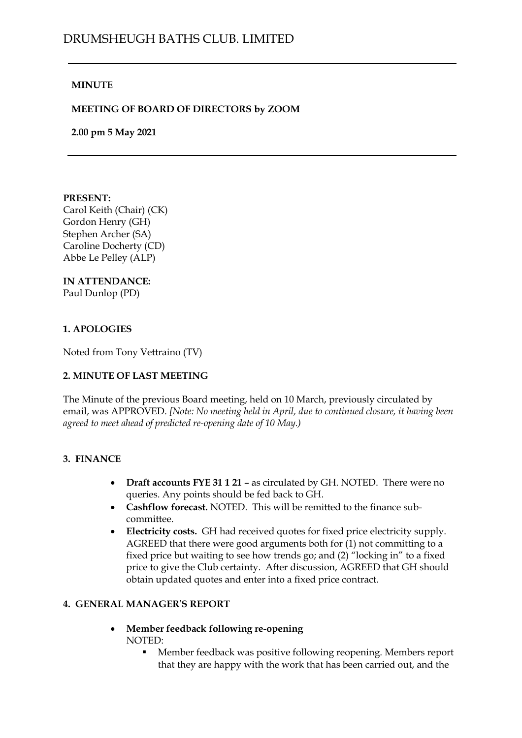## **MINUTE**

## **MEETING OF BOARD OF DIRECTORS by ZOOM**

**2.00 pm 5 May 2021**

#### **PRESENT:**

Carol Keith (Chair) (CK) Gordon Henry (GH) Stephen Archer (SA) Caroline Docherty (CD) Abbe Le Pelley (ALP)

#### **IN ATTENDANCE:**

Paul Dunlop (PD)

### **1. APOLOGIES**

Noted from Tony Vettraino (TV)

# **2. MINUTE OF LAST MEETING**

The Minute of the previous Board meeting, held on 10 March, previously circulated by email, was APPROVED. *[Note: No meeting held in April, due to continued closure, it having been agreed to meet ahead of predicted re-opening date of 10 May.)*

#### **3. FINANCE**

- **Draft accounts FYE 31 1 21** as circulated by GH. NOTED. There were no queries. Any points should be fed back to GH.
- **Cashflow forecast.** NOTED. This will be remitted to the finance subcommittee.
- **Electricity costs.** GH had received quotes for fixed price electricity supply. AGREED that there were good arguments both for (1) not committing to a fixed price but waiting to see how trends go; and (2) "locking in" to a fixed price to give the Club certainty. After discussion, AGREED that GH should obtain updated quotes and enter into a fixed price contract.

#### **4. GENERAL MANAGER**'**S REPORT**

- **Member feedback following re-opening** NOTED:
	- Member feedback was positive following reopening. Members report that they are happy with the work that has been carried out, and the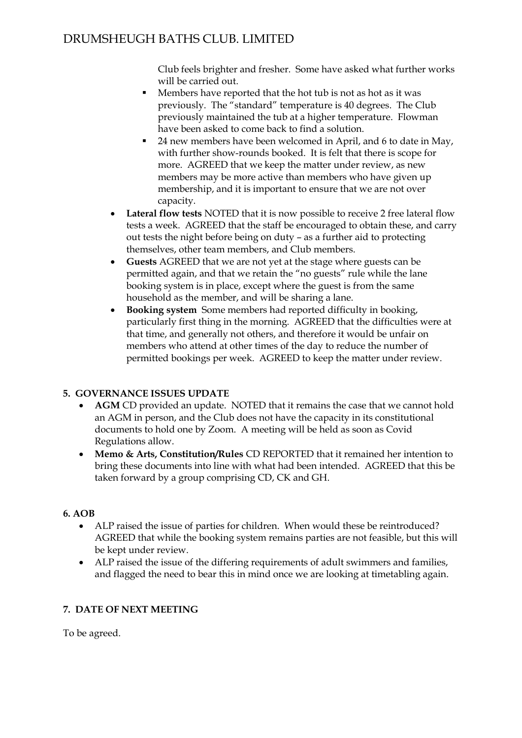# DRUMSHEUGH BATHS CLUB. LIMITED

Club feels brighter and fresher. Some have asked what further works will be carried out.

- Members have reported that the hot tub is not as hot as it was previously. The "standard" temperature is 40 degrees. The Club previously maintained the tub at a higher temperature. Flowman have been asked to come back to find a solution.
- <sup>24</sup> new members have been welcomed in April, and 6 to date in May, with further show-rounds booked. It is felt that there is scope for more. AGREED that we keep the matter under review, as new members may be more active than members who have given up membership, and it is important to ensure that we are not over capacity.
- **Lateral flow tests** NOTED that it is now possible to receive 2 free lateral flow tests a week. AGREED that the staff be encouraged to obtain these, and carry out tests the night before being on duty – as a further aid to protecting themselves, other team members, and Club members.
- **Guests** AGREED that we are not yet at the stage where guests can be permitted again, and that we retain the "no guests" rule while the lane booking system is in place, except where the guest is from the same household as the member, and will be sharing a lane.
- **Booking system** Some members had reported difficulty in booking, particularly first thing in the morning. AGREED that the difficulties were at that time, and generally not others, and therefore it would be unfair on members who attend at other times of the day to reduce the number of permitted bookings per week. AGREED to keep the matter under review.

# **5. GOVERNANCE ISSUES UPDATE**

- **AGM** CD provided an update. NOTED that it remains the case that we cannot hold an AGM in person, and the Club does not have the capacity in its constitutional documents to hold one by Zoom. A meeting will be held as soon as Covid Regulations allow.
- **Memo & Arts, Constitution/Rules** CD REPORTED that it remained her intention to bring these documents into line with what had been intended. AGREED that this be taken forward by a group comprising CD, CK and GH.

# **6. AOB**

- ALP raised the issue of parties for children. When would these be reintroduced? AGREED that while the booking system remains parties are not feasible, but this will be kept under review.
- ALP raised the issue of the differing requirements of adult swimmers and families, and flagged the need to bear this in mind once we are looking at timetabling again.

# **7. DATE OF NEXT MEETING**

To be agreed.